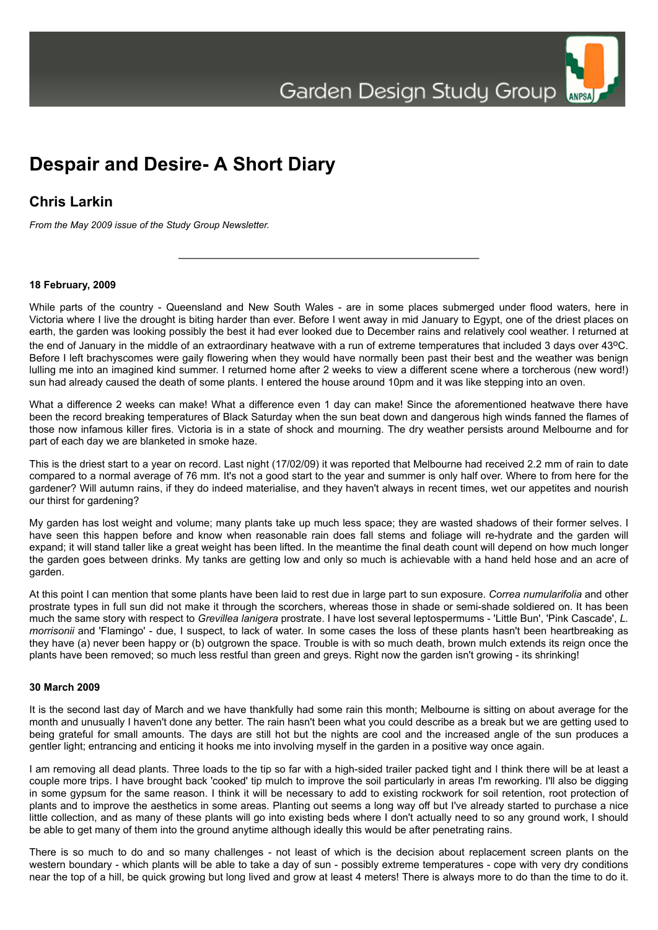

# **Chris Larkin**

*From the May 2009 issue of the Study Group Newsletter.*

#### **18 February, 2009**

While parts of the country - Queensland and New South Wales - are in some places submerged under flood waters, here in Victoria where I live the drought is biting harder than ever. Before I went away in mid January to Egypt, one of the driest places on earth, the garden was looking possibly the best it had ever looked due to December rains and relatively cool weather. I returned at the end of January in the middle of an extraordinary heatwave with a run of extreme temperatures that included 3 days over  $43^{\circ}$ C. Before I left brachyscomes were gaily flowering when they would have normally been past their best and the weather was benign lulling me into an imagined kind summer. I returned home after 2 weeks to view a different scene where a torcherous (new word!) sun had already caused the death of some plants. I entered the house around 10pm and it was like stepping into an oven.

What a difference 2 weeks can make! What a difference even 1 day can make! Since the aforementioned heatwave there have been the record breaking temperatures of Black Saturday when the sun beat down and dangerous high winds fanned the flames of those now infamous killer fires. Victoria is in a state of shock and mourning. The dry weather persists around Melbourne and for part of each day we are blanketed in smoke haze.

This is the driest start to a year on record. Last night (17/02/09) it was reported that Melbourne had received 2.2 mm of rain to date compared to a normal average of 76 mm. It's not a good start to the year and summer is only half over. Where to from here for the gardener? Will autumn rains, if they do indeed materialise, and they haven't always in recent times, wet our appetites and nourish our thirst for gardening?

My garden has lost weight and volume; many plants take up much less space; they are wasted shadows of their former selves. I have seen this happen before and know when reasonable rain does fall stems and foliage will re-hydrate and the garden will expand; it will stand taller like a great weight has been lifted. In the meantime the final death count will depend on how much longer the garden goes between drinks. My tanks are getting low and only so much is achievable with a hand held hose and an acre of garden.

At this point I can mention that some plants have been laid to rest due in large part to sun exposure. *Correa numularifolia* and other prostrate types in full sun did not make it through the scorchers, whereas those in shade or semi-shade soldiered on. It has been much the same story with respect to *Grevillea lanigera* prostrate. I have lost several leptospermums - 'Little Bun', 'Pink Cascade', *L. morrisonii* and 'Flamingo' - due, I suspect, to lack of water. In some cases the loss of these plants hasn't been heartbreaking as they have (a) never been happy or (b) outgrown the space. Trouble is with so much death, brown mulch extends its reign once the plants have been removed; so much less restful than green and greys. Right now the garden isn't growing - its shrinking!

# **30 March 2009**

It is the second last day of March and we have thankfully had some rain this month; Melbourne is sitting on about average for the month and unusually I haven't done any better. The rain hasn't been what you could describe as a break but we are getting used to being grateful for small amounts. The days are still hot but the nights are cool and the increased angle of the sun produces a gentler light; entrancing and enticing it hooks me into involving myself in the garden in a positive way once again.

I am removing all dead plants. Three loads to the tip so far with a high-sided trailer packed tight and I think there will be at least a couple more trips. I have brought back 'cooked' tip mulch to improve the soil particularly in areas I'm reworking. I'll also be digging in some gypsum for the same reason. I think it will be necessary to add to existing rockwork for soil retention, root protection of plants and to improve the aesthetics in some areas. Planting out seems a long way off but I've already started to purchase a nice little collection, and as many of these plants will go into existing beds where I don't actually need to so any ground work, I should be able to get many of them into the ground anytime although ideally this would be after penetrating rains.

There is so much to do and so many challenges - not least of which is the decision about replacement screen plants on the western boundary - which plants will be able to take a day of sun - possibly extreme temperatures - cope with very dry conditions near the top of a hill, be quick growing but long lived and grow at least 4 meters! There is always more to do than the time to do it.